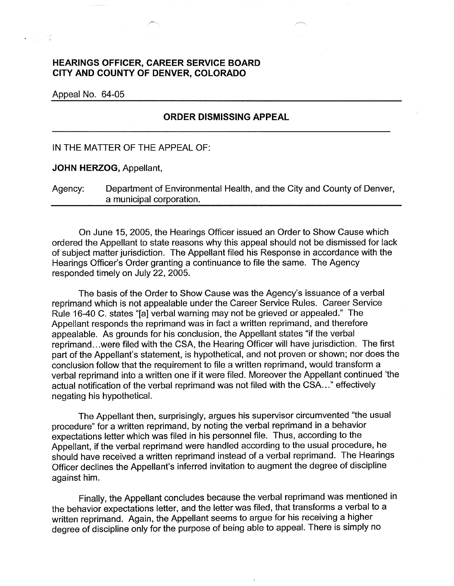## **HEARINGS OFFICER, CAREER SERVICE BOARD CITY AND COUNTY OF DENVER, COLORADO**

Appeal No. 64-05

## **ORDER DISMISSING APPEAL**

IN THE MATTER OF THE APPEAL OF:

**JOHN HERZOG,** Appellant,

Agency: Department of Environmental Health, and the City and County of Denver, a municipal corporation.

On June 15, 2005, the Hearings Officer issued an Order to Show Cause which ordered the Appellant to state reasons why this appeal should not be dismissed for lack of subject matter jurisdiction. The Appellant filed his Response in accordance with the Hearings Officer's Order granting a continuance to file the same. The Agency responded timely on July 22, 2005.

The basis of the Order to Show Cause was the Agency's issuance of a verbal reprimand which is not appealable under the Career Service Rules. Career Service Rule 16-40 C. states "[a] verbal warning may not be grieved or appealed." The Appellant responds the reprimand was in fact a written reprimand, and therefore appealable. As grounds for his conclusion, the Appellant states "if the verbal reprimand ... were filed with the CSA, the Hearing Officer will have jurisdiction. The first part of the Appellant's statement, is hypothetical, and not proven or shown; nor does the conclusion follow that the requirement to file a written reprimand, would transform a verbal reprimand into a written one if it were filed. Moreover the Appellant continued 'the actual notification of the verbal reprimand was not filed with the CSA ... " effectively negating his hypothetical.

The Appellant then, surprisingly, argues his supervisor circumvented "the usual procedure" for a written reprimand, by noting the verbal reprimand in a behavior expectations letter which was filed in his personnel file. Thus, according to the Appellant, if the verbal reprimand were handled according to the usual procedure, he should have received a written reprimand instead of a verbal reprimand. The Hearings Officer declines the Appellant's inferred invitation to augment the degree of discipline against him.

Finally, the Appellant concludes because the verbal reprimand was mentioned in the behavior expectations letter, and the letter was filed, that transforms a verbal to a written reprimand. Again, the Appellant seems to argue for his receiving a higher degree of discipline only for the purpose of being able to appeal. There is simply no